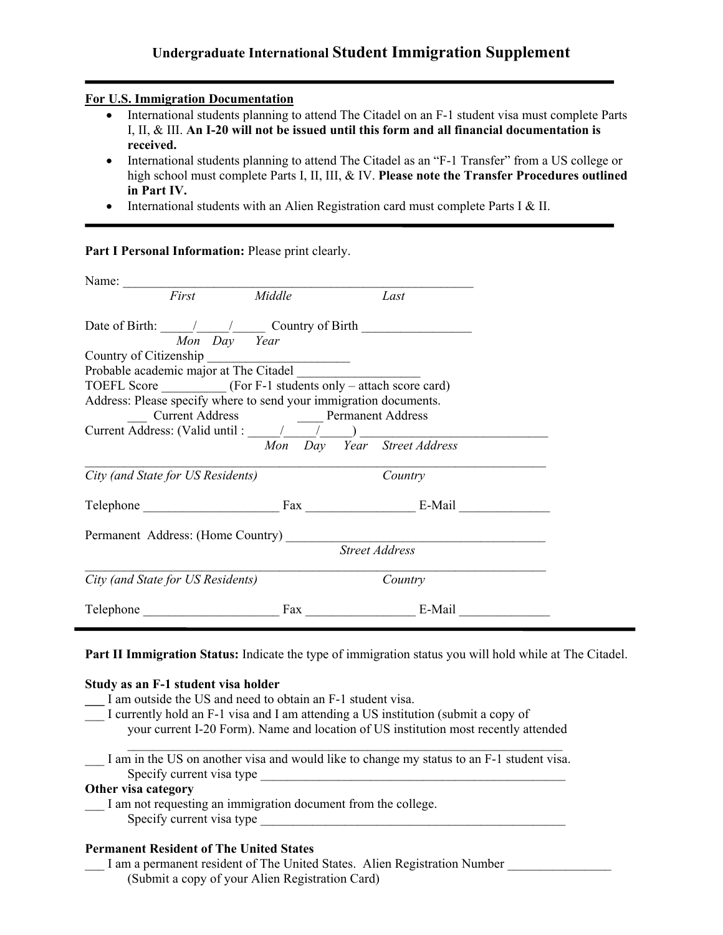# **Undergraduate International Student Immigration Supplement**

### **For U.S. Immigration Documentation**

- International students planning to attend The Citadel on an F-1 student visa must complete Parts I, II, & III. **An I-20 will not be issued until this form and all financial documentation is received.**
- International students planning to attend The Citadel as an "F-1 Transfer" from a US college or high school must complete Parts I, II, III, & IV. **Please note the Transfer Procedures outlined in Part IV.**
- International students with an Alien Registration card must complete Parts I & II.

Part I Personal Information: Please print clearly.

| Name: First Middle                                                |                             | Last                  |  |
|-------------------------------------------------------------------|-----------------------------|-----------------------|--|
| Date of Birth: $\frac{1}{\sqrt{2\pi}}$ Country of Birth           |                             |                       |  |
| Mon Day Year                                                      |                             |                       |  |
| Country of Citizenship                                            |                             |                       |  |
| Probable academic major at The Citadel                            |                             |                       |  |
|                                                                   |                             |                       |  |
| Address: Please specify where to send your immigration documents. |                             |                       |  |
|                                                                   |                             |                       |  |
|                                                                   |                             |                       |  |
|                                                                   | Mon Day Year Street Address |                       |  |
| City (and State for US Residents)                                 |                             | Country               |  |
|                                                                   |                             |                       |  |
|                                                                   |                             |                       |  |
|                                                                   |                             | <b>Street Address</b> |  |
| City (and State for US Residents)                                 |                             | Country               |  |
|                                                                   |                             | Fax E-Mail            |  |

**Part II Immigration Status:** Indicate the type of immigration status you will hold while at The Citadel.

### **Study as an F-1 student visa holder**

- **\_\_\_** I am outside the US and need to obtain an F-1 student visa.
- I currently hold an F-1 visa and I am attending a US institution (submit a copy of your current I-20 Form). Name and location of US institution most recently attended

I am in the US on another visa and would like to change my status to an F-1 student visa. Specify current visa type

 $\mathcal{L}_\text{max} = \frac{1}{2} \sum_{i=1}^n \mathcal{L}_\text{max} = \frac{1}{2} \sum_{i=1}^n \mathcal{L}_\text{max} = \frac{1}{2} \sum_{i=1}^n \mathcal{L}_\text{max} = \frac{1}{2} \sum_{i=1}^n \mathcal{L}_\text{max} = \frac{1}{2} \sum_{i=1}^n \mathcal{L}_\text{max} = \frac{1}{2} \sum_{i=1}^n \mathcal{L}_\text{max} = \frac{1}{2} \sum_{i=1}^n \mathcal{L}_\text{max} = \frac{1}{2} \sum_{i=$ 

# **Other visa category**

I am not requesting an immigration document from the college. Specify current visa type

# **Permanent Resident of The United States**

I am a permanent resident of The United States. Alien Registration Number (Submit a copy of your Alien Registration Card)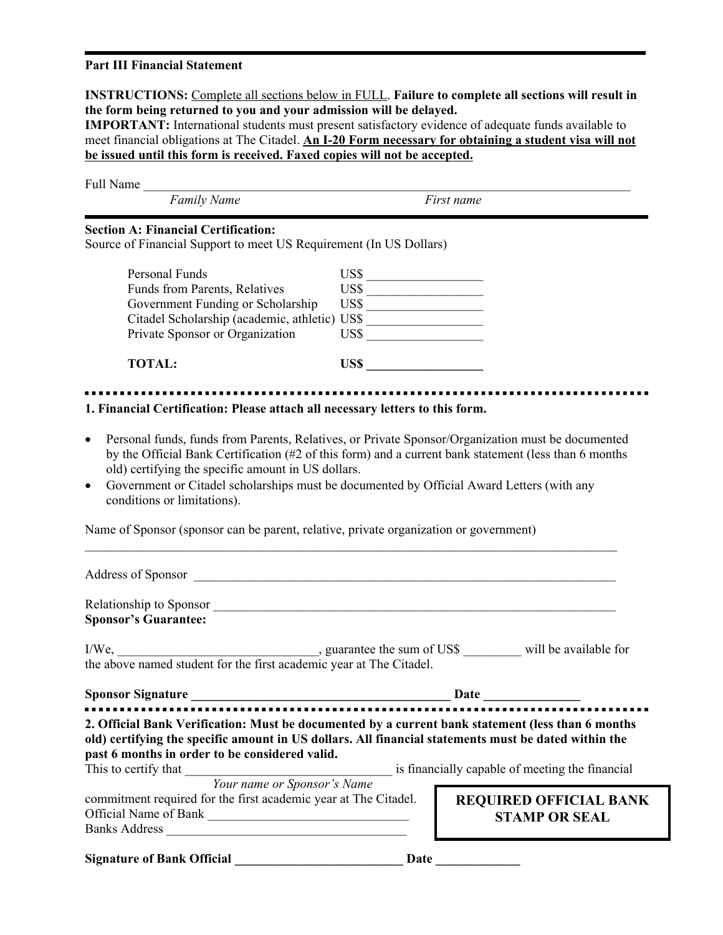### **Part III Financial Statement**

**INSTRUCTIONS:** Complete all sections below in FULL. **Failure to complete all sections will result in the form being returned to you and your admission will be delayed.**

**IMPORTANT:** International students must present satisfactory evidence of adequate funds available to meet financial obligations at The Citadel. **An I-20 Form necessary for obtaining a student visa will not be issued until this form is received. Faxed copies will not be accepted.**

| Full Name<br><b>Family Name</b>                                                                                                                                                                                                                                                                                                                                                                                        |                                  | First name                                      |  |  |
|------------------------------------------------------------------------------------------------------------------------------------------------------------------------------------------------------------------------------------------------------------------------------------------------------------------------------------------------------------------------------------------------------------------------|----------------------------------|-------------------------------------------------|--|--|
|                                                                                                                                                                                                                                                                                                                                                                                                                        |                                  |                                                 |  |  |
| <b>Section A: Financial Certification:</b><br>Source of Financial Support to meet US Requirement (In US Dollars)                                                                                                                                                                                                                                                                                                       |                                  |                                                 |  |  |
| Personal Funds                                                                                                                                                                                                                                                                                                                                                                                                         | $\overline{\text{USS}}$          |                                                 |  |  |
| Funds from Parents, Relatives                                                                                                                                                                                                                                                                                                                                                                                          | $\overline{\text{uss} \text{ }}$ |                                                 |  |  |
| Government Funding or Scholarship<br>Citadel Scholarship (academic, athletic) US\$                                                                                                                                                                                                                                                                                                                                     |                                  |                                                 |  |  |
|                                                                                                                                                                                                                                                                                                                                                                                                                        |                                  |                                                 |  |  |
| Private Sponsor or Organization                                                                                                                                                                                                                                                                                                                                                                                        | $\overline{\text{USS}}$          |                                                 |  |  |
| <b>TOTAL:</b>                                                                                                                                                                                                                                                                                                                                                                                                          | US\$                             |                                                 |  |  |
| 1. Financial Certification: Please attach all necessary letters to this form.                                                                                                                                                                                                                                                                                                                                          |                                  |                                                 |  |  |
| Personal funds, funds from Parents, Relatives, or Private Sponsor/Organization must be documented<br>$\bullet$<br>by the Official Bank Certification (#2 of this form) and a current bank statement (less than 6 months<br>old) certifying the specific amount in US dollars.<br>Government or Citadel scholarships must be documented by Official Award Letters (with any<br>$\bullet$<br>conditions or limitations). |                                  |                                                 |  |  |
| Name of Sponsor (sponsor can be parent, relative, private organization or government)                                                                                                                                                                                                                                                                                                                                  |                                  |                                                 |  |  |
|                                                                                                                                                                                                                                                                                                                                                                                                                        |                                  |                                                 |  |  |
|                                                                                                                                                                                                                                                                                                                                                                                                                        |                                  |                                                 |  |  |
| <b>Sponsor's Guarantee:</b>                                                                                                                                                                                                                                                                                                                                                                                            |                                  |                                                 |  |  |
|                                                                                                                                                                                                                                                                                                                                                                                                                        |                                  |                                                 |  |  |
| the above named student for the first academic year at The Citadel.                                                                                                                                                                                                                                                                                                                                                    |                                  |                                                 |  |  |
| Sponsor Signature                                                                                                                                                                                                                                                                                                                                                                                                      | <b>Date</b> and <b>Date</b>      |                                                 |  |  |
| 2. Official Bank Verification: Must be documented by a current bank statement (less than 6 months<br>old) certifying the specific amount in US dollars. All financial statements must be dated within the<br>past 6 months in order to be considered valid.<br>This to certify that                                                                                                                                    |                                  | is financially capable of meeting the financial |  |  |
| <b>Your name or Sponsor's Name</b>                                                                                                                                                                                                                                                                                                                                                                                     |                                  |                                                 |  |  |
| commitment required for the first academic year at The Citadel.                                                                                                                                                                                                                                                                                                                                                        |                                  | <b>REQUIRED OFFICIAL BANK</b>                   |  |  |
| Official Name of Bank                                                                                                                                                                                                                                                                                                                                                                                                  |                                  | <b>STAMP OR SEAL</b>                            |  |  |
|                                                                                                                                                                                                                                                                                                                                                                                                                        |                                  |                                                 |  |  |
| <b>Signature of Bank Official</b>                                                                                                                                                                                                                                                                                                                                                                                      | Date                             |                                                 |  |  |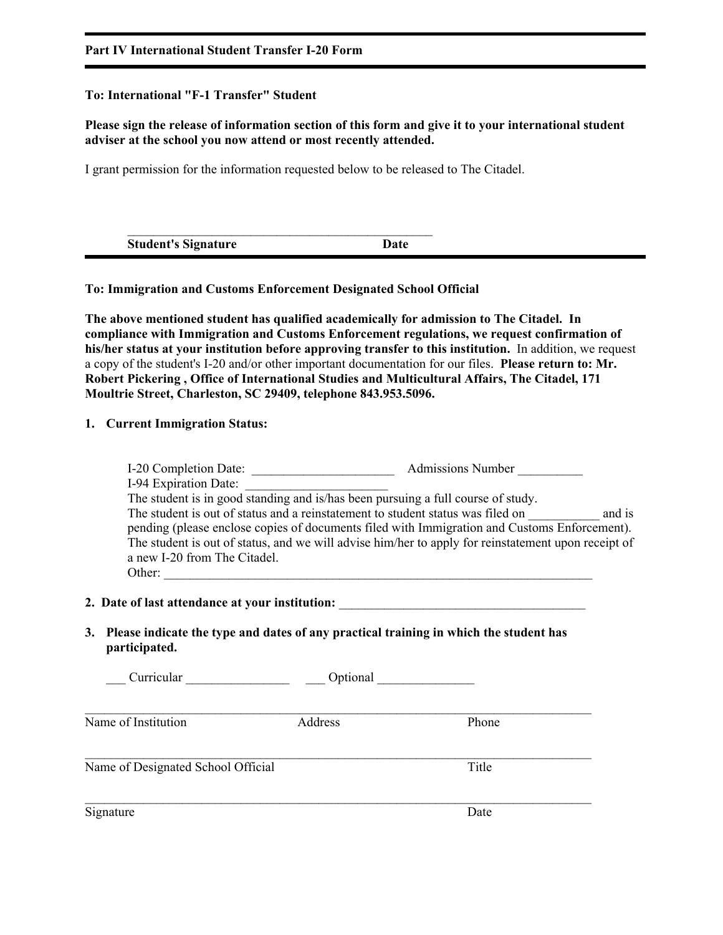## **Part IV International Student Transfer I-20 Form**

# **To: International "F-1 Transfer" Student**

# **Please sign the release of information section of this form and give it to your international student adviser at the school you now attend or most recently attended.**

I grant permission for the information requested below to be released to The Citadel.

| <b>Student's Signature</b> | Date |
|----------------------------|------|

# **To: Immigration and Customs Enforcement Designated School Official**

**The above mentioned student has qualified academically for admission to The Citadel. In compliance with Immigration and Customs Enforcement regulations, we request confirmation of his/her status at your institution before approving transfer to this institution.** In addition, we request a copy of the student's I-20 and/or other important documentation for our files. **Please return to: Mr. Robert Pickering , Office of International Studies and Multicultural Affairs, The Citadel, 171 Moultrie Street, Charleston, SC 29409, telephone 843.953.5096.**

# **1. Current Immigration Status:**

| I-20 Completion Date:<br><b>Admissions Number</b>                                                   |
|-----------------------------------------------------------------------------------------------------|
| I-94 Expiration Date:                                                                               |
| The student is in good standing and is/has been pursuing a full course of study.                    |
| The student is out of status and a reinstatement to student status was filed on<br>and is           |
| pending (please enclose copies of documents filed with Immigration and Customs Enforcement).        |
| The student is out of status, and we will advise him/her to apply for reinstatement upon receipt of |
| a new I-20 from The Citadel.                                                                        |
| Other:                                                                                              |

### 2. Date of last attendance at your institution:

**3. Please indicate the type and dates of any practical training in which the student has participated.** 

| Curricular                         | Optional |       |  |
|------------------------------------|----------|-------|--|
| Name of Institution                | Address  | Phone |  |
| Name of Designated School Official |          | Title |  |
| Signature                          |          | Date  |  |